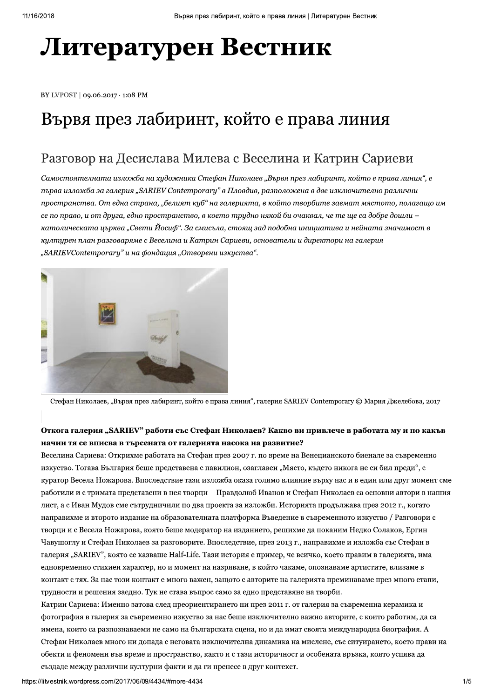# Литературен Вестник

BY LVPOST | 09.06.2017 · 1:08 PM

## Вървя през лабиринт, който е права линия

## Разговор на Десислава Милева с Веселина и Катрин Сариеви

Самостоятелната изложба на художника Стефан Николаев "Вървя през лабиринт, който е права линия", е първа изложба за галерия "SARIEV Contemporary" в Пловдив, разположена в две изключително различни пространства. От една страна, "белият куб" на галерията, в който творбите заемат мястото, полагащо им се по право, и от друга, едно пространство, в което трудно някой би очаквал, че те ще са добре дошли – католическата църква "Свети Йосиф". За смисъла, стоящ зад подобна инициатива и нейната значимост в културен план разговаряме с Веселина и Катрин Сариеви, основатели и директори на галерия "SARIEVContemporary" и на фондация "Отворени изкуства".



Стефан Николаев, "Вървя през лабиринт, който е права линия", галерия SARIEV Contemporary © Мария Джелебова, 2017

## Откога галерия "SARIEV" работи със Стефан Николаев? Какво ви привлече в работата му и по какъв начин тя се вписва в търсената от галерията насока на развитие?

Веселина Сариева: Открихме работата на Стефан през 2007 г. по време на Венецианското биенале за съвременно изкуство. Тогава България беше представена с павилион, озаглавен "Място, където никога не си бил преди", с куратор Весела Ножарова. Впоследствие тази изложба оказа голямо влияние върху нас и в един или друг момент сме работили и с тримата представени в нея творци – Правдолюб Иванов и Стефан Николаев са основни автори в нашия лист, а с Иван Мудов сме сътрудничили по два проекта за изложби. Историята продължава през 2012 г., когато направихме и второто издание на образователната платформа Въведение в съвременното изкуство / Разговори с творци и с Весела Ножарова, която беше модератор на изданието, решихме да поканим Недко Солаков, Ергин Чавушоглу и Стефан Николаев за разговорите. Впоследствие, през 2013 г., направихме и изложба със Стефан в галерия "SARIEV", която се казваше Half-Life. Тази история е пример, че всичко, което правим в галерията, има едновременно стихиен характер, но и момент на назряване, в който чакаме, опознаваме артистите, влизаме в контакт с тях. За нас този контакт е много важен, защото с авторите на галерията преминаваме през много етапи, трудности и решения заедно. Тук не става въпрос само за едно представяне на творби.

Катрин Сариева: Именно затова след преориентирането ни през 2011 г. от галерия за съвременна керамика и фотография в галерия за съвременно изкуство за нас беше изключително важно авторите, с които работим, да са имена, които са разпознаваеми не само на българската сцена, но и да имат своята международна биография. А Стефан Николаев много ни допада с неговата изключителна динамика на мислене, със ситуирането, което прави на обекти и феномени във време и пространство, както и с тази историчност и особената връзка, която успява да създаде между различни културни факти и да ги пренесе в друг контекст.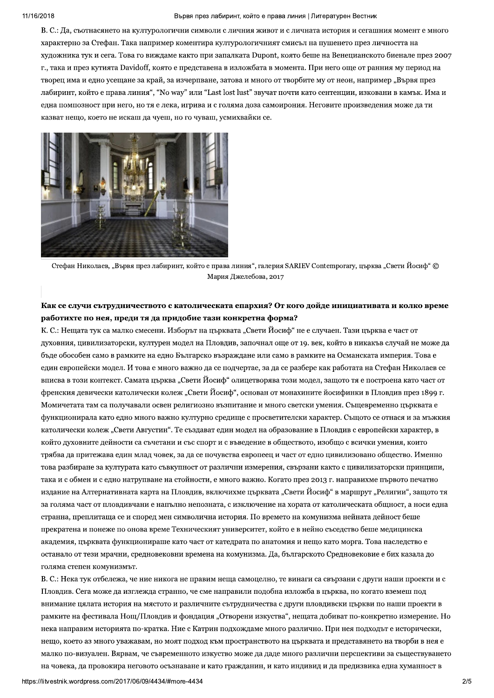#### Вървя през лабиринт, който е права линия | Литературен Вестник

В. С.: Да, съотнасянето на културологични символи с личния живот и с личната история и сегашния момент е много характерно за Стефан. Така например коментира културологичният смисъл на пушенето през личността на художника тук и сега. Това го виждаме както при запалката Dupont, която беше на Венецианското биенале през 2007 г., така и през кутията Davidoff, която е представена в изложбата в момента. При него още от ранния му период на творец има и едно усещане за край, за изчерпване, затова и много от творбите му от неон, например "Вървя през лабиринт, който е права линия", "No way" или "Last lost lust" звучат почти като сентенции, изковани в камък. Има и една помпозност при него, но тя е лека, игрива и с голяма доза самоирония. Неговите произведения може да ти казват нещо, което не искаш да чуеш, но го чуваш, усмихвайки се.



Стефан Николаев, "Вървя през лабиринт, който е права линия", галерия SARIEV Contemporary, църква "Свети Йосиф" © Мария Джелебова, 2017

## Как се случи сътрудничеството с католическата епархия? От кого дойде инициативата и колко време работихте по нея, преди тя да придобие тази конкретна форма?

К. С.: Нещата тук са малко смесени. Изборът на църквата "Свети Йосиф" не е случаен. Тази църква е част от духовния, цивилизаторски, културен модел на Пловдив, започнал още от 19. век, който в никакъв случай не може да бъде обособен само в рамките на едно Българско възраждане или само в рамките на Османската империя. Това е един европейски модел. И това е много важно да се подчертае, за да се разбере как работата на Стефан Николаев се вписва в този контекст. Самата църква "Свети Йосиф" олицетворява този модел, защото тя е построена като част от френския девически католически колеж "Свети Йосиф", основан от монахините йосифинки в Пловдив през 1899 г. Момичетата там са получавали освен религиозно възпитание и много светски умения. Същевременно пърквата е функционирала като едно много важно културно средище с просветителски характер. Същото се отнася и за мъжкия католически колеж "Свети Августин". Те създават един модел на образование в Пловдив с европейски характер, в който духовните дейности са съчетани и със спорт и с въведение в обществото, изобщо с всички умения, които трябва да притежава един млад човек, за да се почувства европеец и част от едно цивилизовано общество. Именно това разбиране за културата като съвкупност от различни измерения, свързани както с цивилизаторски принципи, така и с обмен и с едно натрупване на стойности, е много важно. Когато през 2013 г. направихме първото печатно издание на Алтернативната карта на Пловдив, включихме църквата "Свети Йосиф" в маршрут "Религии", защото тя за голяма част от пловдивчани е напълно непозната, с изключение на хората от католическата обшност, а носи една странна, преплиташа се и според мен символична история. По времето на комунизма нейната дейност беше прекратена и понеже по онова време Техническият университет, който е в нейно съседство беше медицинска академия, църквата функционираше като част от катедрата по анатомия и нещо като морга. Това наследство е останало от тези мрачни, средновековни времена на комунизма. Да, българското Средновековие е бих казала до голяма степен комунизмът.

В. С.: Нека тук отбележа, че ние никога не правим неща самоцелно, те винаги са свързани с други наши проекти и с Пловдив. Сега може да изглежда странно, че сме направили подобна изложба в църква, но когато вземеш под внимание цялата история на мястото и различните сътрудничества с други пловдивски църкви по наши проекти в рамките на фестивала Нощ/Пловдив и фондация "Отворени изкуства", нещата добиват по-конкретно измерение. Но нека направим историята по-кратка. Ние с Катрин подхождаме много различно. При нея подходът е исторически, нещо, което аз много уважавам, но моят подход към пространството на църквата и представянето на творби в нея е малко по-визуален. Вярвам, че съвременното изкуство може да даде много различни перспективи за съществуването на човека, да провокира неговото осъзнаване и като гражданин, и като индивид и да предизвика една хуманност в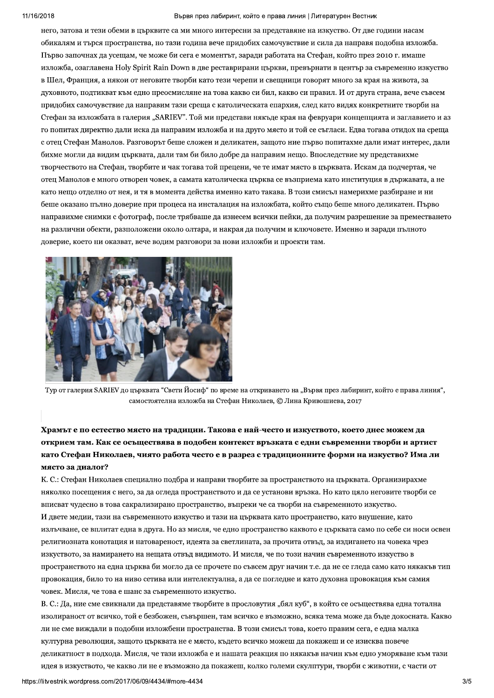#### Вървя през лабиринт, който е права линия | Литературен Вестник

него, затова и тези обеми в църквите са ми много интересни за представяне на изкуство. От две години насам обикалям и търся пространства, но тази година вече придобих самочувствие и сила да направя подобна изложба. Първо започнах да усещам, че може би сега е моментът, заради работата на Стефан, който през 2010 г. имаше изложба, озаглавена Holy Spirit Rain Down в две реставрирани църкви, превърнати в център за съвременно изкуство в Шел, Франция, а някои от неговите творби като тези черепи и свещници говорят много за края на живота, за духовното, подтикват към едно преосмисляне на това какво си бил, какво си правил. И от друга страна, вече съвсем придобих самочувствие да направим тази среща с католическата епархия, след като видях конкретните творби на Стефан за изложбата в галерия "SARIEV". Той ми представи някъде края на февруари концепцията и заглавието и аз го попитах директно дали иска да направим изложба и на друго място и той се съгласи. Едва тогава отидох на среща с отец Стефан Манолов. Разговорът беще сложен и деликатен, защото ние първо попитахме дали имат интерес, дали бихме могли да видим църквата, дали там би било добре да направим нещо. Впоследствие му представихме творчеството на Стефан, творбите и чак тогава той прецени, че те имат място в църквата. Искам да подчертая, че отец Манолов е много отворен човек, а самата католическа пърква се възприема като институция в лържавата, а не като нещо отделно от нея, и тя в момента действа именно като такава. В този смисъл намерихме разбиране и ни беше оказано пълно доверие при процеса на инсталация на изложбата, който също беше много деликатен. Първо направихме снимки с фотограф, после трябваше да изнесем всички пейки, да получим разрешение за преместването на различни обекти, разположени около олтара, и накрая да получим и ключовете. Именно и заради пълното доверие, което ни оказват, вече водим разговори за нови изложби и проекти там.



Тур от галерия SARIEV до църквата "Свети Йосиф" по време на откриването на "Вървя през лабиринт, който е права линия", самостоятелна изложба на Стефан Николаев, © Лина Кривошиева, 2017

## Храмът е по естество място на традиции. Такова е най-често и изкуството, което днес можем да открием там. Как се осъществява в подобен контекст връзката с едни съвременни творби и артист като Стефан Николаев, чиято работа често е в разрез с традиционните форми на изкуство? Има ли място за диалог?

К. С.: Стефан Николаев специално подбра и направи творбите за пространството на църквата. Организирахме няколко посещения с него, за да огледа пространството и да се установи връзка. Но като цяло неговите творби се вписват чудесно в това сакрализирано пространство, въпреки че са творби на съвременното изкуство.

И двете медии, тази на съвременното изкуство и тази на църквата като пространство, като внушение, като излъчване, се вплитат една в друга. Но аз мисля, че едно пространство каквото е църквата само по себе си носи освен религиозната конотация и натовареност, идеята за светлината, за прочита отвъд, за издигането на човека чрез изкуството, за намирането на нещата отвъд видимото. И мисля, че по този начин съвременното изкуство в пространството на една църква би могло да се прочете по съвсем друг начин т.е. да не се гледа само като някакъв тип провокация, било то на ниво сетива или интелектуална, а да се погледне и като духовна провокация към самия човек. Мисля, че това е шанс за съвременното изкуство.

В. С.: Да, ние сме свикнали да представяме творбите в прословутия "бял куб", в който се осъществява една тотална изолираност от всичко, той е безбожен, съвършен, там всичко е възможно, всяка тема може да бъде докосната. Какво ли не сме виждали в подобни изложбени пространства. В този смисъл това, което правим сега, е една малка културна революция, защото църквата не е място, където всичко можеш да покажеш и се изисква повече деликатност в подхода. Мисля, че тази изложба е и нашата реакция по някакъв начин към едно уморяване към тази идея в изкуството, че какво ли не е възможно да покажеш, колко големи скулптури, творби с животни, с части от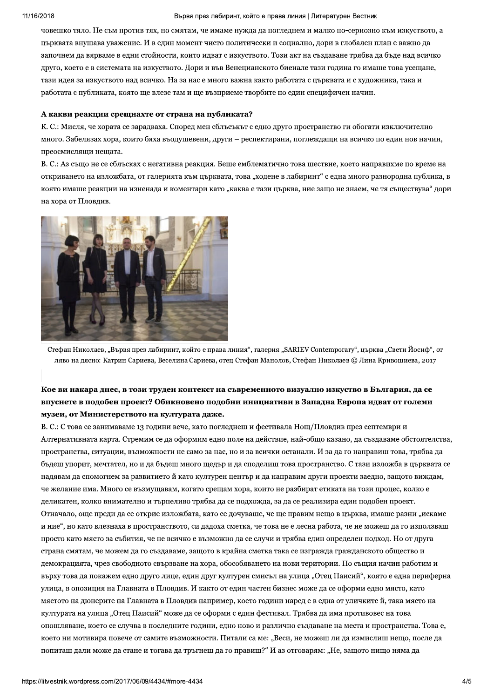#### 2018 **Вървя** я през лабиринт, които е права линия | Литературен Вестник

човешко тяло. Не съм против тях, но смятам, че имаме нужда да погледнем и малко по-сериозно към изкуството, а църквата внушава уважение. И в един момент чисто политически и социално, дори в глобален план е важно да започнем да вярваме в едни стойности, които идват с изкуството. Този акт на създаване трябва да бъде над всичко друго, което е в системата на изкуството. Дори и във Венецианското биенале тази година го имаше това усещане, тази идея за изкуството над всичко. На за нас е много важна както работата с църквата и с художника, така и работата с публиката, която ще влезе там и ще възприеме творбите по един специфичен начин.

#### А какви реакции срещнахте от страна на публиката?

К. С.: Мисля, че хората се зарадваха. Според мен сблъсъкът с едно друго пространство ги обогати изключително много. Забелязах хора, които бяха въодушевени, други – респектирани, поглеждащи на всичко по един нов начин, преосмисляши нешата.

В. С.: Аз също не се сблъсках с негативна реакция. Беше емблематично това шествие, което направихме по време на откриването на изложбата, от галерията към църквата, това "ходене в лабиринт" с една много разнородна публика, в която имаше реакции на изненада и коментари като "каква е тази църква, ние защо не знаем, че тя съществува" дори на хора от Пловдив.



Стефан Николаев, "Вървя през лабиринт, който е права линия", галерия "SARIEV Contemporary", църква "Свети Йосиф", от ляво на дясно: Катрин Сариева, Веселина Сариева, отец Стефан Манолов, Стефан Николаев © Лина Кривошиева, 2017

## Кое ви накара днес, в този труден контекст на съвременното визуално изкуство в България, да се впуснете в подобен проект? Обикновено подобни инициативи в Западна Европа идват от големи музеи, от Министерството на културата даже.

опошляване, което се сл<br>което ни мотивира пове<br>попиташ дали може да с<br>https://litvestnik.wordpress.com/201 В. С.: С това се занимаваме 13 години вече, като погледнеш и фестивала Нощ/Пловдив през септември и Алтернативната карта. Стремим се да оформим едно поле на действие, най-общо казано, да създаваме обстоятелства, пространства, ситуации, възможности не само за нас, но и за всички останали. И за да го направиш това, трябва да бъдеш упорит, мечтател, но и да бъдеш много щедър и да споделиш това пространство. С тази изложба в църквата се надявам да спомогнем за развитието й като културен център и да направим други проекти заедно, защото виждам, че желание има. Много се възмущавам, когато срещам хора, които не разбират етиката на този процес. колко е деликатен, колко внимателно и търпеливо трябва да се подхожда, за да се реализира един подобен проект. Отначало, още преди да се открие изложбата, като се дочуваше, че ще правим нещо в църква, имаше разни "искаме и ние", но като влезнаха в пространството, си дадоха сметка, че това не е лесна работа, че не можеш да го използваш просто като място за събития, че не всичко е възможно да се случи и трябва един определен подход. Но от друга страна смятам, че можем да го създаваме, защото в крайна сметка така се изгражда гражданското общество и демокрацията, чрез свободното свързване на хора, обособяването на нови територии. По същия начин работим и върху това да покажем едно друго лице, един друг културен смисъл на улица "Отец Паисий", която е една периферна улица, в опозиция на Главната в Пловдив. И както от един частен бизнес може да се оформи едно място, като мястото на дюнерите на Главната в Пловдив например, което години наред е в една от уличките й, така място на културата на улица "Отец Паисий" може да се оформи с един фестивал. Трябва да има противовес на това опошляване, което се случва в последните години, едно ново и различно създаване на места и пространства. Това е, което ни мотивира повече от самите възможности. Питали са ме: "Веси, не можеш ли да измислиш нещо, после да попиташ дали може да стане и тогава да тръгнеш да го правиш?" И аз отговарям: "Не, защото нищо няма да